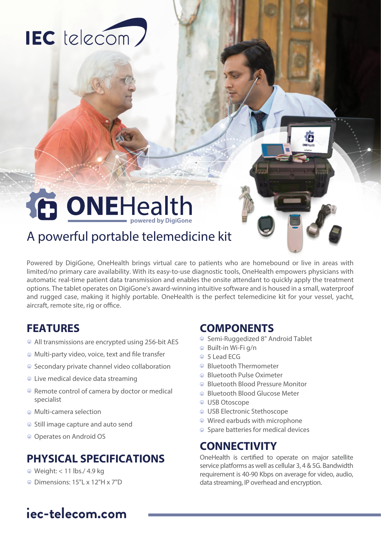# IEC telecom)

# **DONEHealth**

# A powerful portable telemedicine kit

Powered by DigiGone, OneHealth brings virtual care to patients who are homebound or live in areas with limited/no primary care availability. With its easy-to-use diagnostic tools, OneHealth empowers physicians with automatic real-time patient data transmission and enables the onsite attendant to quickly apply the treatment options. The tablet operates on DigiGone's award-winning intuitive software and is housed in a small, waterproof and rugged case, making it highly portable. OneHealth is the perfect telemedicine kit for your vessel, yacht, aircraft, remote site, rig or office.

### **FEATURES**

- All transmissions are encrypted using 256-bit AES
- $\odot$  Multi-party video, voice, text and file transfer
- Secondary private channel video collaboration
- Live medical device data streaming
- Remote control of camera by doctor or medical specialist
- Multi-camera selection
- Still image capture and auto send
- Operates on Android OS

### **PHYSICAL SPECIFICATIONS**

- Weight: < 11 lbs./ 4.9 kg
- Dimensions: 15"L x 12"H x 7"D

#### **COMPONENTS**

- Semi-Ruggedized 8" Android Tablet
- Built-in Wi-Fi g/n
- 5 Lead ECG
- Bluetooth Thermometer
- **Bluetooth Pulse Oximeter**
- Bluetooth Blood Pressure Monitor
- Bluetooth Blood Glucose Meter
- USB Otoscope
- USB Electronic Stethoscope
- Wired earbuds with microphone
- Spare batteries for medical devices

### **CONNECTIVITY**

OneHealth is certified to operate on major satellite service platforms as well as cellular 3, 4 & 5G. Bandwidth requirement is 40-90 Kbps on average for video, audio, data streaming, IP overhead and encryption.

# **iec-telecom.com**